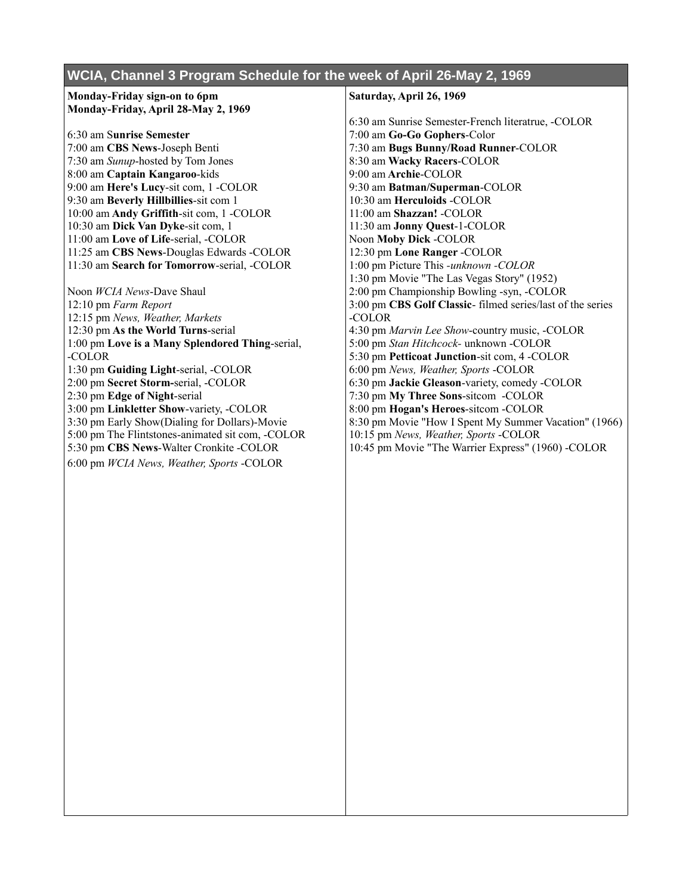## **WCIA, Channel 3 Program Schedule for the week of April 26-May 2, 1969**

## **Monday-Friday sign-on to 6pm Monday-Friday, April 28-May 2, 1969**

6:30 am S**unrise Semester** 7:00 am **CBS News**-Joseph Benti 7:30 am *Sunup*-hosted by Tom Jones 8:00 am **Captain Kangaroo**-kids 9:00 am **Here's Lucy**-sit com, 1 -COLOR 9:30 am **Beverly Hillbillies**-sit com 1 10:00 am **Andy Griffith**-sit com, 1 -COLOR 10:30 am **Dick Van Dyke**-sit com, 1 11:00 am **Love of Life**-serial, -COLOR 11:25 am **CBS News**-Douglas Edwards -COLOR 11:30 am **Search for Tomorrow**-serial, -COLOR

Noon *WCIA News*-Dave Shaul 12:10 pm *Farm Report* 12:15 pm *News, Weather, Markets* 12:30 pm **As the World Turns**-serial 1:00 pm **Love is a Many Splendored Thing**-serial, -COLOR 1:30 pm **Guiding Light**-serial, -COLOR 2:00 pm **Secret Storm-**serial, -COLOR 2:30 pm **Edge of Night**-serial 3:00 pm **Linkletter Show**-variety, -COLOR 3:30 pm Early Show(Dialing for Dollars)-Movie 5:00 pm The Flintstones-animated sit com, -COLOR 5:30 pm **CBS News**-Walter Cronkite -COLOR 6:00 pm *WCIA News, Weather, Sports* -COLOR

## **Saturday, April 26, 1969**

6:30 am Sunrise Semester-French literatrue, -COLOR 7:00 am **Go-Go Gophers**-Color 7:30 am **Bugs Bunny/Road Runner**-COLOR 8:30 am **Wacky Racers**-COLOR 9:00 am **Archie**-COLOR 9:30 am **Batman/Superman**-COLOR 10:30 am **Herculoids** -COLOR 11:00 am **Shazzan!** -COLOR 11:30 am **Jonny Quest**-1-COLOR Noon **Moby Dick** -COLOR 12:30 pm **Lone Ranger** -COLOR 1:00 pm Picture This *-unknown -COLOR* 1:30 pm Movie "The Las Vegas Story" (1952) 2:00 pm Championship Bowling -syn, -COLOR 3:00 pm **CBS Golf Classic**- filmed series/last of the series -COLOR 4:30 pm *Marvin Lee Show*-country music, -COLOR 5:00 pm *Stan Hitchcock-* unknown -COLOR 5:30 pm **Petticoat Junction**-sit com, 4 -COLOR 6:00 pm *News, Weather, Sports* -COLOR 6:30 pm **Jackie Gleason**-variety, comedy -COLOR 7:30 pm **My Three Sons**-sitcom -COLOR 8:00 pm **Hogan's Heroes**-sitcom -COLOR 8:30 pm Movie "How I Spent My Summer Vacation" (1966) 10:15 pm *News, Weather, Sports* -COLOR 10:45 pm Movie "The Warrier Express" (1960) -COLOR